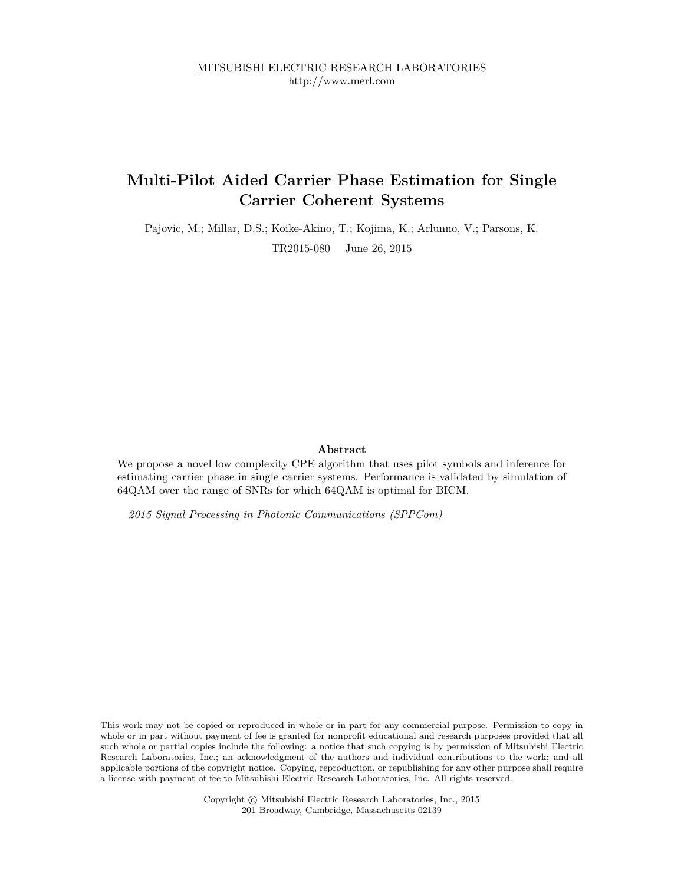# **Multi-Pilot Aided Carrier Phase Estimation for Single Carrier Coherent Systems**

Pajovic, M.; Millar, D.S.; Koike-Akino, T.; Kojima, K.; Arlunno, V.; Parsons, K.

TR2015-080 June 26, 2015

## **Abstract**

We propose a novel low complexity CPE algorithm that uses pilot symbols and inference for estimating carrier phase in single carrier systems. Performance is validated by simulation of 64QAM over the range of SNRs for which 64QAM is optimal for BICM.

*2015 Signal Processing in Photonic Communications (SPPCom)*

This work may not be copied or reproduced in whole or in part for any commercial purpose. Permission to copy in whole or in part without payment of fee is granted for nonprofit educational and research purposes provided that all such whole or partial copies include the following: a notice that such copying is by permission of Mitsubishi Electric Research Laboratories, Inc.; an acknowledgment of the authors and individual contributions to the work; and all applicable portions of the copyright notice. Copying, reproduction, or republishing for any other purpose shall require a license with payment of fee to Mitsubishi Electric Research Laboratories, Inc. All rights reserved.

> Copyright © Mitsubishi Electric Research Laboratories, Inc., 2015 201 Broadway, Cambridge, Massachusetts 02139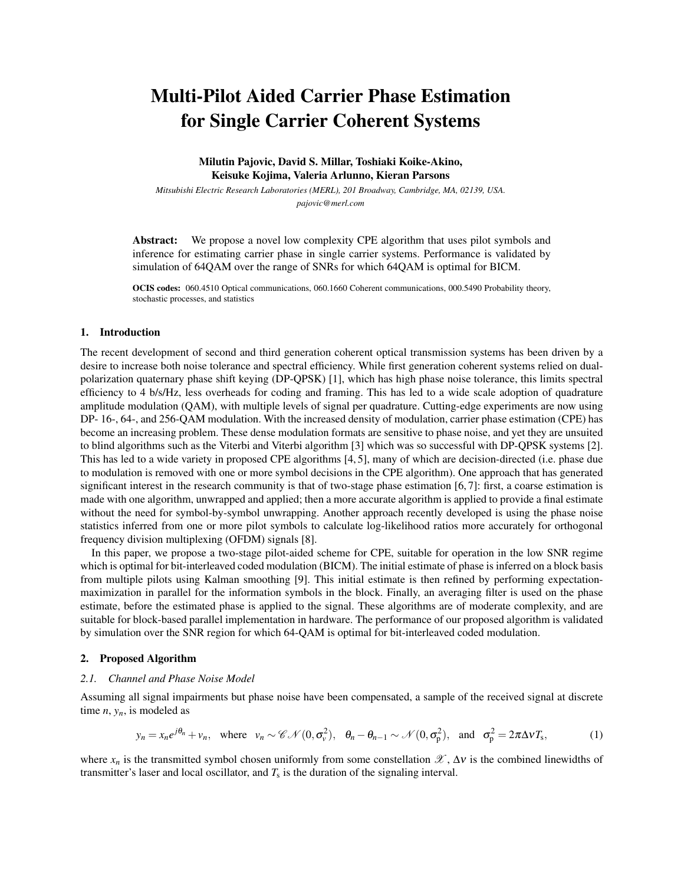# Multi-Pilot Aided Carrier Phase Estimation for Single Carrier Coherent Systems

Milutin Pajovic, David S. Millar, Toshiaki Koike-Akino, Keisuke Kojima, Valeria Arlunno, Kieran Parsons

*Mitsubishi Electric Research Laboratories (MERL), 201 Broadway, Cambridge, MA, 02139, USA. pajovic@merl.com*

Abstract: We propose a novel low complexity CPE algorithm that uses pilot symbols and inference for estimating carrier phase in single carrier systems. Performance is validated by simulation of 64QAM over the range of SNRs for which 64QAM is optimal for BICM.

OCIS codes: 060.4510 Optical communications, 060.1660 Coherent communications, 000.5490 Probability theory, stochastic processes, and statistics

#### 1. Introduction

The recent development of second and third generation coherent optical transmission systems has been driven by a desire to increase both noise tolerance and spectral efficiency. While first generation coherent systems relied on dualpolarization quaternary phase shift keying (DP-QPSK) [1], which has high phase noise tolerance, this limits spectral efficiency to 4 b/s/Hz, less overheads for coding and framing. This has led to a wide scale adoption of quadrature amplitude modulation (QAM), with multiple levels of signal per quadrature. Cutting-edge experiments are now using DP- 16-, 64-, and 256-QAM modulation. With the increased density of modulation, carrier phase estimation (CPE) has become an increasing problem. These dense modulation formats are sensitive to phase noise, and yet they are unsuited to blind algorithms such as the Viterbi and Viterbi algorithm [3] which was so successful with DP-QPSK systems [2]. This has led to a wide variety in proposed CPE algorithms [4, 5], many of which are decision-directed (i.e. phase due to modulation is removed with one or more symbol decisions in the CPE algorithm). One approach that has generated significant interest in the research community is that of two-stage phase estimation [6, 7]: first, a coarse estimation is made with one algorithm, unwrapped and applied; then a more accurate algorithm is applied to provide a final estimate without the need for symbol-by-symbol unwrapping. Another approach recently developed is using the phase noise statistics inferred from one or more pilot symbols to calculate log-likelihood ratios more accurately for orthogonal frequency division multiplexing (OFDM) signals [8].

In this paper, we propose a two-stage pilot-aided scheme for CPE, suitable for operation in the low SNR regime which is optimal for bit-interleaved coded modulation (BICM). The initial estimate of phase is inferred on a block basis from multiple pilots using Kalman smoothing [9]. This initial estimate is then refined by performing expectationmaximization in parallel for the information symbols in the block. Finally, an averaging filter is used on the phase estimate, before the estimated phase is applied to the signal. These algorithms are of moderate complexity, and are suitable for block-based parallel implementation in hardware. The performance of our proposed algorithm is validated by simulation over the SNR region for which 64-QAM is optimal for bit-interleaved coded modulation.

#### 2. Proposed Algorithm

#### *2.1. Channel and Phase Noise Model*

Assuming all signal impairments but phase noise have been compensated, a sample of the received signal at discrete time  $n$ ,  $y_n$ , is modeled as

$$
y_n = x_n e^{j\theta_n} + v_n
$$
, where  $v_n \sim \mathcal{CN}(0, \sigma_v^2)$ ,  $\theta_n - \theta_{n-1} \sim \mathcal{N}(0, \sigma_p^2)$ , and  $\sigma_p^2 = 2\pi \Delta v T_s$ , (1)

where  $x_n$  is the transmitted symbol chosen uniformly from some constellation  $\mathscr{X}, \Delta v$  is the combined linewidths of transmitter's laser and local oscillator, and  $T_s$  is the duration of the signaling interval.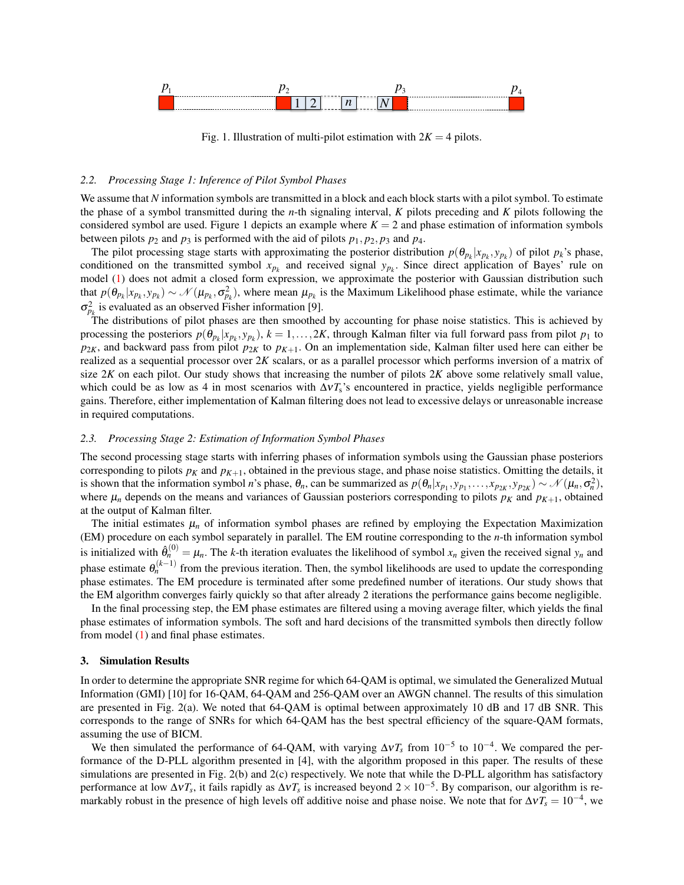

Fig. 1. Illustration of multi-pilot estimation with  $2K = 4$  pilots.

#### *2.2. Processing Stage 1: Inference of Pilot Symbol Phases*

We assume that *N* information symbols are transmitted in a block and each block starts with a pilot symbol. To estimate the phase of a symbol transmitted during the *n*-th signaling interval, *K* pilots preceding and *K* pilots following the considered symbol are used. Figure 1 depicts an example where  $K = 2$  and phase estimation of information symbols between pilots  $p_2$  and  $p_3$  is performed with the aid of pilots  $p_1, p_2, p_3$  and  $p_4$ .

The pilot processing stage starts with approximating the posterior distribution  $p(\theta_{p_k}|x_{p_k}, y_{p_k})$  of pilot  $p_k$ 's phase, conditioned on the transmitted symbol  $x_{p_k}$  and received signal  $y_{p_k}$ . Since direct application of Bayes' rule on model (1) does not admit a closed form expression, we approximate the posterior with Gaussian distribution such that  $p(\theta_{p_k}|x_{p_k},y_{p_k}) \sim \mathcal{N}(\mu_{p_k},\sigma_{p_k}^2)$ , where mean  $\mu_{p_k}$  is the Maximum Likelihood phase estimate, while the variance  $\sigma_{p_k}^2$  is evaluated as an observed Fisher information [9].

The distributions of pilot phases are then smoothed by accounting for phase noise statistics. This is achieved by processing the posteriors  $p(\theta_{p_k}|x_{p_k},y_{p_k}), k = 1,\ldots,2K$ , through Kalman filter via full forward pass from pilot  $p_1$  to  $p_{2K}$ , and backward pass from pilot  $p_{2K}$  to  $p_{K+1}$ . On an implementation side, Kalman filter used here can either be realized as a sequential processor over 2*K* scalars, or as a parallel processor which performs inversion of a matrix of size  $2K$  on each pilot. Our study shows that increasing the number of pilots  $2K$  above some relatively small value, which could be as low as 4 in most scenarios with  $\Delta vT_s$ 's encountered in practice, yields negligible performance gains. Therefore, either implementation of Kalman filtering does not lead to excessive delays or unreasonable increase in required computations.

#### *2.3. Processing Stage 2: Estimation of Information Symbol Phases*

The second processing stage starts with inferring phases of information symbols using the Gaussian phase posteriors corresponding to pilots  $p_k$  and  $p_{K+1}$ , obtained in the previous stage, and phase noise statistics. Omitting the details, it is shown that the information symbol n's phase,  $\theta_n$ , can be summarized as  $p(\theta_n|x_{p_1},y_{p_1},\ldots,x_{p_{2K}},y_{p_{2K}}) \sim \mathcal{N}(\mu_n, \sigma_n^2)$ , where  $\mu_n$  depends on the means and variances of Gaussian posteriors corresponding to pilots  $p_K$  and  $p_{K+1}$ , obtained at the output of Kalman filter.

The initial estimates  $\mu_n$  of information symbol phases are refined by employing the Expectation Maximization (EM) procedure on each symbol separately in parallel. The EM routine corresponding to the *n*-th information symbol is initialized with  $\hat{\theta}_n^{(0)} = \mu_n$ . The *k*-th iteration evaluates the likelihood of symbol  $x_n$  given the received signal  $y_n$  and phase estimate  $\theta_n^{(k-1)}$  from the previous iteration. Then, the symbol likelihoods are used to update the corresponding phase estimates. The EM procedure is terminated after some predefined number of iterations. Our study shows that the EM algorithm converges fairly quickly so that after already 2 iterations the performance gains become negligible.

In the final processing step, the EM phase estimates are filtered using a moving average filter, which yields the final phase estimates of information symbols. The soft and hard decisions of the transmitted symbols then directly follow from model (1) and final phase estimates.

#### 3. Simulation Results

In order to determine the appropriate SNR regime for which 64-QAM is optimal, we simulated the Generalized Mutual Information (GMI) [10] for 16-QAM, 64-QAM and 256-QAM over an AWGN channel. The results of this simulation are presented in Fig. 2(a). We noted that 64-QAM is optimal between approximately 10 dB and 17 dB SNR. This corresponds to the range of SNRs for which 64-QAM has the best spectral efficiency of the square-QAM formats, assuming the use of BICM.

We then simulated the performance of 64-QAM, with varying  $\Delta vT_s$  from 10<sup>-5</sup> to 10<sup>-4</sup>. We compared the performance of the D-PLL algorithm presented in [4], with the algorithm proposed in this paper. The results of these simulations are presented in Fig. 2(b) and 2(c) respectively. We note that while the D-PLL algorithm has satisfactory performance at low  $\Delta vT_s$ , it fails rapidly as  $\Delta vT_s$  is increased beyond  $2 \times 10^{-5}$ . By comparison, our algorithm is remarkably robust in the presence of high levels off additive noise and phase noise. We note that for  $\Delta vT_s = 10^{-4}$ , we